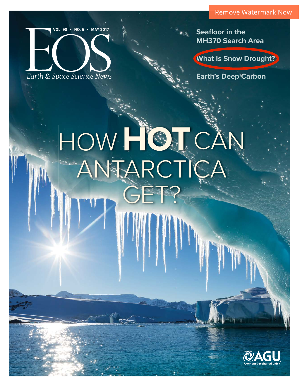

**Seafloor in the MH370 Search Area**

**What Is Snow Drought?**

**Earth's Deep Carbon**

# HOW **HOT** CAN ANTARCTICA GET?

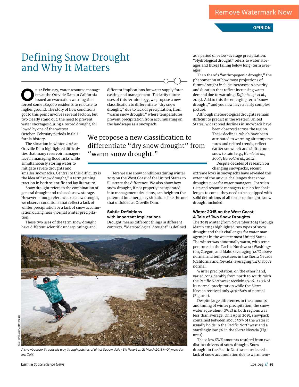# **OPINION**

# Defining Snow Drought and Why It Matters

**O**n 12 February, water resource manag-<br>
ers at the Oroville Dam in California<br>
issued an evacuation warning that<br>
forced some 180,000 residents to relocate to ers at the Oroville Dam in California issued an evacuation warning that forced some 180,000 residents to relocate to higher ground. The story of how conditions got to this point involves several factors, but two clearly stand out: the need to prevent water shortages during a record drought, followed by one of the wettest October–February periods in California history.

The situation in winter 2016 at Oroville Dam highlighted difficulties that many reservoir managers face in managing flood risks while simultaneously storing water to mitigate severe droughts and

smaller snowpacks. Central to this difficulty is the idea of "snow drought," a term gaining traction in both scientific and lay literature.

Snow drought refers to the combination of general drought and reduced snow storage. However, among references to snow drought, we observe conditions that reflect a lack of winter precipitation or a lack of snow accumulation during near-normal winter precipitation.

These two uses of the term snow drought have different scientific underpinnings and

different implications for water supply forecasting and management. To clarify future uses of this terminology, we propose a new classification to differentiate "dry snow drought," due to lack of precipitation, from "warm snow drought," where temperatures prevent precipitation from accumulating on the landscape as a snowpack.

We propose a new classification to differentiate "dry snow drought" from "warm snow drought."

> Here we use snow conditions during winter 2015 on the West Coast of the United States to illustrate the difference. We also show how snow drought, if not properly incorporated into management decisions, can heighten the potential for emergency situations like the one that unfolded at Oroville Dam.

### **Subtle Definitions with Important Implications**

Drought means different things in different contexts. "Meteorological drought" is defined

as a period of below-average precipitation. "Hydrological drought" refers to water storages and fluxes falling below long-term averages.

Then there's "anthropogenic drought," the phenomenon of how most projections of future drought include increases in severity and duration that reflect increasing water demand due to warming [*Difenbaugh et al.*, 2015]. Add to this the emerging term "snow drought," and you now have a fairly complex picture.

Although meteorological droughts remain difficult to predict in the western United States, widespread declines in snowpack have

been observed across the region. These declines, which have been attributed to warming air temperatures and related trends, reflect earlier snowmelt and shifts from snow to rain [e.g., *Hamlet et al.*, 2007; *Harpold et al.*, 2012].

Despite decades of research on changing snowpacks, recent

extreme lows in snowpacks have revealed the extent of the unique challenges that snow droughts pose for water managers. For scientists and resource managers to plan for challenges to come, they need to be equipped with solid definitions of all forms of drought, snow drought included.

#### **Winter 2015 on the West Coast: A Tale of Two Snow Droughts**

The 2015 winter (from November 2014 through March 2015) highlighted two types of snow drought and their challenges for water management in the westernmost United States. The winter was abnormally warm, with temperatures in the Pacific Northwest (Washington, Oregon, and Idaho) averaging 3.0°C above normal and temperatures in the Sierra Nevada (California and Nevada) averaging 3.4°C above normal.

Winter precipitation, on the other hand, varied considerably from north to south, with the Pacific Northwest receiving 70%–120% of its normal precipitation while the Sierra Nevada received only 40%–80% of normal (Figure 1).

Despite large differences in the amounts and timing of winter precipitation, the snow water equivalent (SWE) in both regions was less than average. On 1 April 2015, snowpack contained between about 50% of the water it usually holds in the Pacific Northwest and a startlingly low 5% in the Sierra Nevada (Figure 1).

These low SWE amounts resulted from two distinct drivers of snow drought. Snow drought in the Pacific Northwest reflected a lack of snow accumulation due to warm tem-

A snowboarder threads his way through patches of dirt at Squaw Valley Ski Resort on 21 March 2015 in Olympic Valley, Calif.

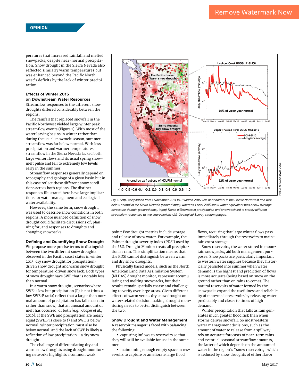peratures that increased rainfall and melted snowpacks, despite near-normal precipitation. Snow drought in the Sierra Nevada also reflected similarly warm temperatures but was enhanced beyond the Pacific Northwest's deficits by the lack of winter precipitation.

#### **Efects of Winter 2015 on Downstream Water Resources**

Streamflow responses to the different snow droughts differed considerably between the regions.

The rainfall that replaced snowfall in the Pacific Northwest yielded large winter peak streamflow events (Figure 1). With most of the water leaving basins in winter rather than during the usual snowmelt season, summer streamflow was far below normal. With less precipitation and warmer temperatures, streamflow in the Sierra Nevada lacked both large winter flows and its usual spring snowmelt pulse and fell to extremely low levels early in the summer.

Streamflow responses generally depend on topography and geology of a given basin but in this case reflect these different snow conditions across both regions. The distinct responses illustrated here have large implications for water management and ecological water availability.

However, the same term, snow drought, was used to describe snow conditions in both regions. A more nuanced definition of snow drought could facilitate discussions of, planning for, and responses to droughts and changing snowpacks.

#### **Defining and Quantifying Snow Drought**

We propose more precise terms to distinguish between the two different snow droughts observed in the Pacific coast states in winter 2015: dry snow drought for precipitationdriven snow drought and warm snow drought for temperature-driven snow lack. Both types of snow drought have SWE that is notably less than normal.

In a warm snow drought, scenarios where SWE is low but precipitation (P) is not (thus a low SWE:P ratio) reflect that a larger than normal amount of precipitation has fallen as rain rather than snow, that an unusual amount of melt has occurred, or both [e.g., *Cooper et al*., 2016]. If the SWE and precipitation are nearly equal (SWE:P is close to 1) and SWE is below normal, winter precipitation must also be below normal, and the lack of SWE is likely a reflection of low precipitation—a dry snow drought.

The challenge of differentiating dry and warm snow droughts using drought monitoring networks highlights a common weak





point: Few drought metrics include storage and release of snow water. For example, the Palmer drought severity index (PDSI) used by the U.S. Drought Monitor treats all precipitation as rain. This simplification means that the PDSI cannot distinguish between warm and dry snow droughts.

Physically based models, such as the North American Land Data Assimilation System (NLDAS) drought monitor, represent accumulating and melting snowpacks, but their results remain spatially coarse and challenging to verify over large areas. Given different effects of warm versus dry snow drought on water-related decision making, drought monitoring needs to better distinguish between the two.

#### **Snow Drought and Water Management** A reservoir manager is faced with balancing the following:

• capturing inflows to reservoirs so that they will still be available for use in the summer

• maintaining enough empty space in reservoirs to capture or ameliorate large flood

flows, requiring that large winter flows pass immediately through the reservoirs to maintain extra storage

Snow reservoirs, the water stored in mountain snowpacks, aid both management purposes. Snowpacks are particularly important to western water supplies because they historically persisted into summer when water demand is the highest and prediction of flows is more accurate (being based on snow on the ground rather than on rains to come). The natural reservoirs of water formed by the snowpacks expand the usefulness and reliability of man-made reservoirs by releasing water predictably and closer to times of high demand.

Winter precipitation that falls as rain generates much greater flood risk than when storms deliver snowfall. So most western water management decisions, such as the amount of water to release from a spillway, rely on accurate forecasts of near-term rains and eventual seasonal streamflow amounts, the latter of which depends on the amount of water in the region's "snow reservoirs," which is reduced by snow droughts of either flavor.